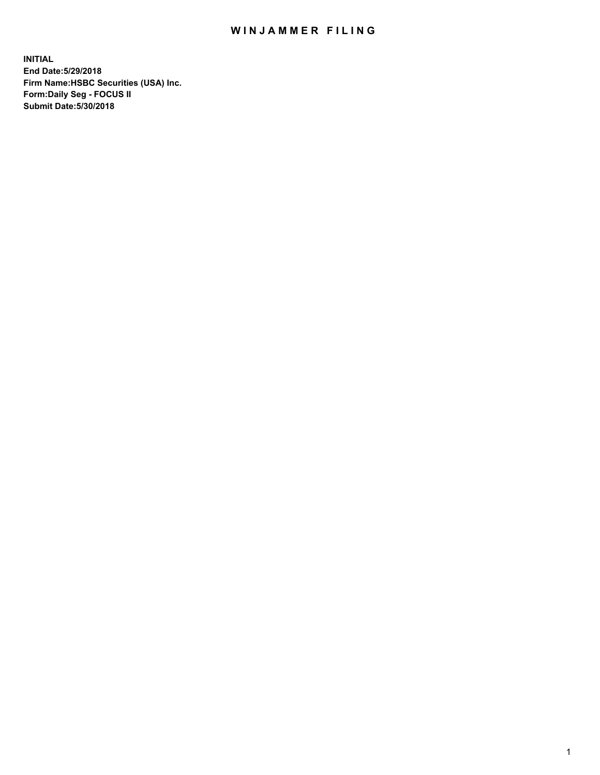## WIN JAMMER FILING

**INITIAL End Date:5/29/2018 Firm Name:HSBC Securities (USA) Inc. Form:Daily Seg - FOCUS II Submit Date:5/30/2018**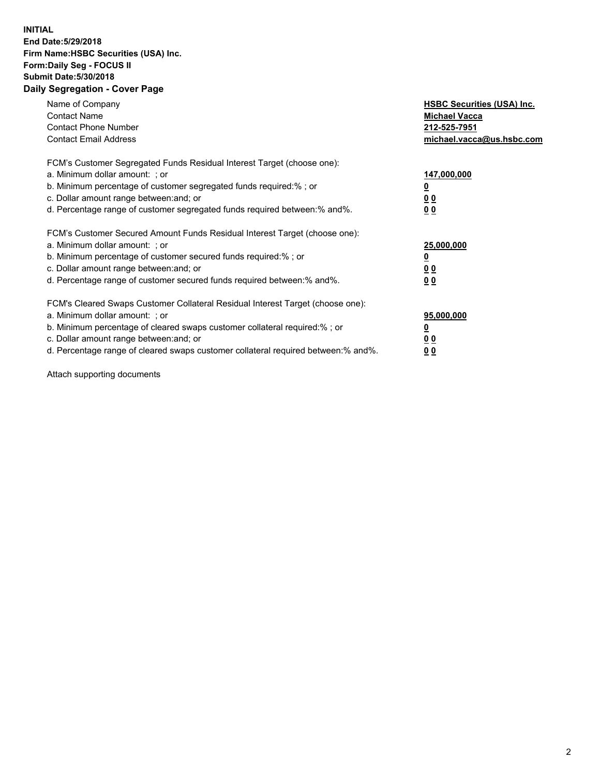## **INITIAL End Date:5/29/2018 Firm Name:HSBC Securities (USA) Inc. Form:Daily Seg - FOCUS II Submit Date:5/30/2018 Daily Segregation - Cover Page**

| Name of Company<br><b>Contact Name</b><br><b>Contact Phone Number</b><br><b>Contact Email Address</b>                                                                                                                                                                                                                         | <b>HSBC Securities (USA) Inc.</b><br><b>Michael Vacca</b><br>212-525-7951<br>michael.vacca@us.hsbc.com |
|-------------------------------------------------------------------------------------------------------------------------------------------------------------------------------------------------------------------------------------------------------------------------------------------------------------------------------|--------------------------------------------------------------------------------------------------------|
| FCM's Customer Segregated Funds Residual Interest Target (choose one):<br>a. Minimum dollar amount: ; or<br>b. Minimum percentage of customer segregated funds required:%; or<br>c. Dollar amount range between: and; or<br>d. Percentage range of customer segregated funds required between: % and %.                       | 147,000,000<br><u>0</u><br><u>00</u><br><u>00</u>                                                      |
| FCM's Customer Secured Amount Funds Residual Interest Target (choose one):<br>a. Minimum dollar amount: ; or<br>b. Minimum percentage of customer secured funds required:%; or<br>c. Dollar amount range between: and; or<br>d. Percentage range of customer secured funds required between: % and %.                         | 25,000,000<br><u>0</u><br><u>00</u><br>00                                                              |
| FCM's Cleared Swaps Customer Collateral Residual Interest Target (choose one):<br>a. Minimum dollar amount: ; or<br>b. Minimum percentage of cleared swaps customer collateral required:%; or<br>c. Dollar amount range between: and; or<br>d. Percentage range of cleared swaps customer collateral required between:% and%. | 95,000,000<br><u>0</u><br><u>00</u><br><u>00</u>                                                       |

Attach supporting documents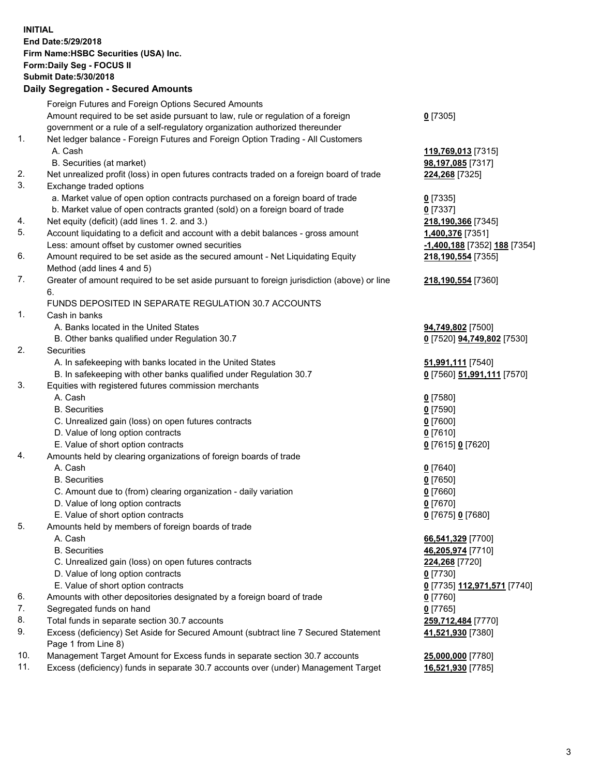**INITIAL End Date:5/29/2018 Firm Name:HSBC Securities (USA) Inc. Form:Daily Seg - FOCUS II Submit Date:5/30/2018 Daily Segregation - Secured Amounts**

Foreign Futures and Foreign Options Secured Amounts Amount required to be set aside pursuant to law, rule or regulation of a foreign government or a rule of a self-regulatory organization authorized thereunder **0** [7305] 1. Net ledger balance - Foreign Futures and Foreign Option Trading - All Customers A. Cash **119,769,013** [7315] B. Securities (at market) **98,197,085** [7317] 2. Net unrealized profit (loss) in open futures contracts traded on a foreign board of trade **224,268** [7325] 3. Exchange traded options a. Market value of open option contracts purchased on a foreign board of trade **0** [7335] b. Market value of open contracts granted (sold) on a foreign board of trade **0** [7337] 4. Net equity (deficit) (add lines 1. 2. and 3.) **218,190,366** [7345] 5. Account liquidating to a deficit and account with a debit balances - gross amount **1,400,376** [7351] Less: amount offset by customer owned securities **-1,400,188** [7352] **188** [7354] 6. Amount required to be set aside as the secured amount - Net Liquidating Equity Method (add lines 4 and 5) **218,190,554** [7355] 7. Greater of amount required to be set aside pursuant to foreign jurisdiction (above) or line 6. **218,190,554** [7360] FUNDS DEPOSITED IN SEPARATE REGULATION 30.7 ACCOUNTS 1. Cash in banks A. Banks located in the United States **94,749,802** [7500] B. Other banks qualified under Regulation 30.7 **0** [7520] **94,749,802** [7530] 2. Securities A. In safekeeping with banks located in the United States **51,991,111** [7540] B. In safekeeping with other banks qualified under Regulation 30.7 **0** [7560] **51,991,111** [7570] 3. Equities with registered futures commission merchants A. Cash **0** [7580] B. Securities **0** [7590] C. Unrealized gain (loss) on open futures contracts **0** [7600] D. Value of long option contracts **0** [7610] E. Value of short option contracts **0** [7615] **0** [7620] 4. Amounts held by clearing organizations of foreign boards of trade A. Cash **0** [7640] B. Securities **0** [7650] C. Amount due to (from) clearing organization - daily variation **0** [7660] D. Value of long option contracts **0** [7670] E. Value of short option contracts **0** [7675] **0** [7680] 5. Amounts held by members of foreign boards of trade A. Cash **66,541,329** [7700] B. Securities **46,205,974** [7710] C. Unrealized gain (loss) on open futures contracts **224,268** [7720] D. Value of long option contracts **0** [7730] E. Value of short option contracts **0** [7735] **112,971,571** [7740] 6. Amounts with other depositories designated by a foreign board of trade **0** [7760] 7. Segregated funds on hand **0** [7765] 8. Total funds in separate section 30.7 accounts **259,712,484** [7770] 9. Excess (deficiency) Set Aside for Secured Amount (subtract line 7 Secured Statement Page 1 from Line 8) **41,521,930** [7380] 10. Management Target Amount for Excess funds in separate section 30.7 accounts **25,000,000** [7780] 11. Excess (deficiency) funds in separate 30.7 accounts over (under) Management Target **16,521,930** [7785]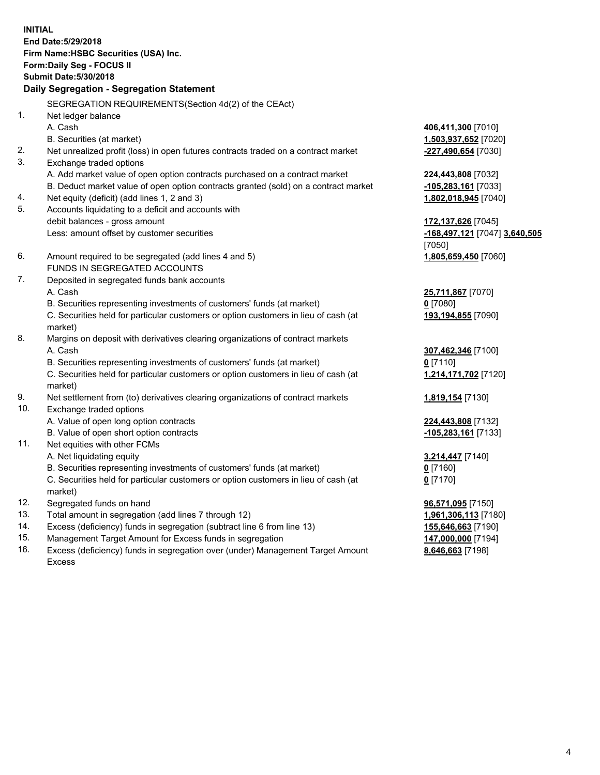**INITIAL End Date:5/29/2018 Firm Name:HSBC Securities (USA) Inc. Form:Daily Seg - FOCUS II Submit Date:5/30/2018 Daily Segregation - Segregation Statement** SEGREGATION REQUIREMENTS(Section 4d(2) of the CEAct) 1. Net ledger balance A. Cash **406,411,300** [7010] B. Securities (at market) **1,503,937,652** [7020] 2. Net unrealized profit (loss) in open futures contracts traded on a contract market **-227,490,654** [7030] 3. Exchange traded options A. Add market value of open option contracts purchased on a contract market **224,443,808** [7032] B. Deduct market value of open option contracts granted (sold) on a contract market **-105,283,161** [7033] 4. Net equity (deficit) (add lines 1, 2 and 3) **1,802,018,945** [7040] 5. Accounts liquidating to a deficit and accounts with debit balances - gross amount **172,137,626** [7045] Less: amount offset by customer securities **-168,497,121** [7047] **3,640,505** [7050] 6. Amount required to be segregated (add lines 4 and 5) **1,805,659,450** [7060] FUNDS IN SEGREGATED ACCOUNTS 7. Deposited in segregated funds bank accounts A. Cash **25,711,867** [7070] B. Securities representing investments of customers' funds (at market) **0** [7080] C. Securities held for particular customers or option customers in lieu of cash (at market) **193,194,855** [7090] 8. Margins on deposit with derivatives clearing organizations of contract markets A. Cash **307,462,346** [7100] B. Securities representing investments of customers' funds (at market) **0** [7110] C. Securities held for particular customers or option customers in lieu of cash (at market) **1,214,171,702** [7120] 9. Net settlement from (to) derivatives clearing organizations of contract markets **1,819,154** [7130] 10. Exchange traded options A. Value of open long option contracts **224,443,808** [7132] B. Value of open short option contracts **-105,283,161** [7133] 11. Net equities with other FCMs A. Net liquidating equity **3,214,447** [7140] B. Securities representing investments of customers' funds (at market) **0** [7160] C. Securities held for particular customers or option customers in lieu of cash (at market) **0** [7170] 12. Segregated funds on hand **96,571,095** [7150] 13. Total amount in segregation (add lines 7 through 12) **1,961,306,113** [7180] 14. Excess (deficiency) funds in segregation (subtract line 6 from line 13) **155,646,663** [7190]

- 15. Management Target Amount for Excess funds in segregation **147,000,000** [7194]
- 16. Excess (deficiency) funds in segregation over (under) Management Target Amount Excess

**8,646,663** [7198]